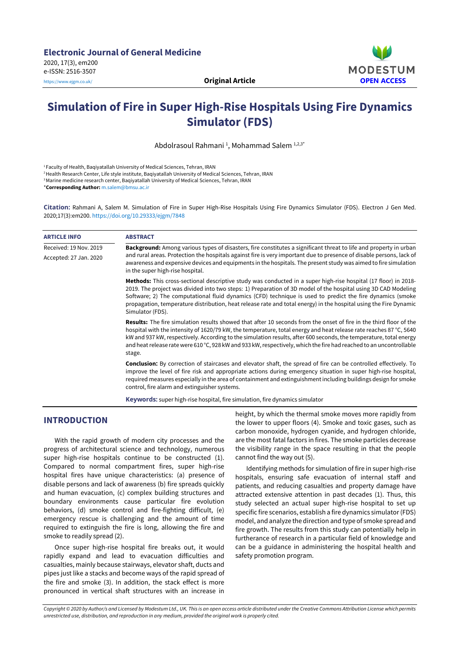

# **Simulation of Fire in Super High-Rise Hospitals Using Fire Dynamics Simulator (FDS)**

Abdolrasoul Rahmani <sup>1</sup>, Mohammad Salem <sup>1,2,3\*</sup>

<sup>1</sup> Faculty of Health, Baqiyatallah University of Medical Sciences, Tehran, IRAN

<sup>2</sup>Health Research Center, Life style institute, Baqiyatallah University of Medical Sciences, Tehran, IRAN

<sup>3</sup> Marine medicine research center, Baqiyatallah University of Medical Sciences, Tehran, IRAN

\***Corresponding Author:** [m.salem@bmsu.ac.ir](mailto:m.salem@bmsu.ac.ir)

**Citation:** Rahmani A, Salem M. Simulation of Fire in Super High-Rise Hospitals Using Fire Dynamics Simulator (FDS). Electron J Gen Med. 2020;17(3):em200. <https://doi.org/10.29333/ejgm/7848>

| <b>ARTICLE INFO</b>    | <b>ABSTRACT</b>                                                                                                                                                                                                                                                                                                                                                                                                                                                                                        |
|------------------------|--------------------------------------------------------------------------------------------------------------------------------------------------------------------------------------------------------------------------------------------------------------------------------------------------------------------------------------------------------------------------------------------------------------------------------------------------------------------------------------------------------|
| Received: 19 Nov. 2019 | <b>Background:</b> Among various types of disasters, fire constitutes a significant threat to life and property in urban                                                                                                                                                                                                                                                                                                                                                                               |
| Accepted: 27 Jan. 2020 | and rural areas. Protection the hospitals against fire is very important due to presence of disable persons, lack of<br>awareness and expensive devices and equipments in the hospitals. The present study was aimed to fire simulation<br>in the super high-rise hospital.                                                                                                                                                                                                                            |
|                        | Methods: This cross-sectional descriptive study was conducted in a super high-rise hospital (17 floor) in 2018-<br>2019. The project was divided into two steps: 1) Preparation of 3D model of the hospital using 3D CAD Modeling<br>Software; 2) The computational fluid dynamics (CFD) technique is used to predict the fire dynamics (smoke<br>propagation, temperature distribution, heat release rate and total energy) in the hospital using the Fire Dynamic<br>Simulator (FDS).                |
|                        | <b>Results:</b> The fire simulation results showed that after 10 seconds from the onset of fire in the third floor of the<br>hospital with the intensity of 1620/79 kW, the temperature, total energy and heat release rate reaches 87 °C, 5640<br>kW and 937 kW, respectively. According to the simulation results, after 600 seconds, the temperature, total energy<br>and heat release rate were 610 °C, 928 kW and 933 kW, respectively, which the fire had reached to an uncontrollable<br>stage. |
|                        | <b>Conclusion:</b> By correction of staircases and elevator shaft, the spread of fire can be controlled effectively. To<br>improve the level of fire risk and appropriate actions during emergency situation in super high-rise hospital,<br>required measures especially in the area of containment and extinguishment including buildings design for smoke<br>control, fire alarm and extinguisher systems.                                                                                          |
|                        | <b>Keywords:</b> super high-rise hospital, fire simulation, fire dynamics simulator                                                                                                                                                                                                                                                                                                                                                                                                                    |

# **INTRODUCTION**

With the rapid growth of modern city processes and the progress of architectural science and technology, numerous super high-rise hospitals continue to be constructed (1). Compared to normal compartment fires, super high-rise hospital fires have unique characteristics: (a) presence of disable persons and lack of awareness (b) fire spreads quickly and human evacuation, (c) complex building structures and boundary environments cause particular fire evolution behaviors, (d) smoke control and fire-fighting difficult, (e) emergency rescue is challenging and the amount of time required to extinguish the fire is long, allowing the fire and smoke to readily spread (2).

Once super high-rise hospital fire breaks out, it would rapidly expand and lead to evacuation difficulties and casualties, mainly because stairways, elevator shaft, ducts and pipes just like a stacks and become ways of the rapid spread of the fire and smoke (3). In addition, the stack effect is more pronounced in vertical shaft structures with an increase in

height, by which the thermal smoke moves more rapidly from the lower to upper floors (4). Smoke and toxic gases, such as carbon monoxide, hydrogen cyanide, and hydrogen chloride, are the most fatal factors in fires. The smoke particles decrease the visibility range in the space resulting in that the people cannot find the way out (5).

Identifying methods for simulation of fire in super high-rise hospitals, ensuring safe evacuation of internal staff and patients, and reducing casualties and property damage have attracted extensive attention in past decades (1). Thus, this study selected an actual super high-rise hospital to set up specific fire scenarios, establish a fire dynamics simulator(FDS) model, and analyze the direction and type of smoke spread and fire growth. The results from this study can potentially help in furtherance of research in a particular field of knowledge and can be a guidance in administering the hospital health and safety promotion program.

Copyright © 2020 by Author/s and Licensed by Modestum Ltd., UK. This is an open access article distributed under the Creative Commons Attribution License which permits *unrestricted use, distribution, and reproduction in any medium, provided the original work is properly cited.*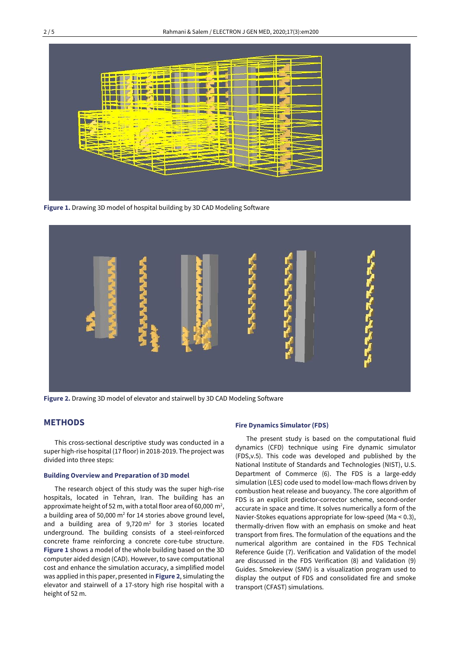

**Figure 1.** Drawing 3D model of hospital building by 3D CAD Modeling Software



**Figure 2.** Drawing 3D model of elevator and stairwell by 3D CAD Modeling Software

# **METHODS**

This cross-sectional descriptive study was conducted in a super high-rise hospital (17 floor) in 2018-2019. The project was divided into three steps:

### **Building Overview and Preparation of 3D model**

The research object of this study was the super high-rise hospitals, located in Tehran, Iran. The building has an approximate height of 52 m, with a total floor area of 60,000 m<sup>2</sup>, a building area of 50,000  $m<sup>2</sup>$  for 14 stories above ground level, and a building area of  $9,720 \text{ m}^2$  for 3 stories located underground. The building consists of a steel-reinforced concrete frame reinforcing a concrete core-tube structure. **Figure 1** shows a model of the whole building based on the 3D computer aided design (CAD). However, to save computational cost and enhance the simulation accuracy, a simplified model was applied in this paper, presented in **Figure 2**, simulating the elevator and stairwell of a 17-story high rise hospital with a height of 52 m.

#### **Fire Dynamics Simulator(FDS)**

The present study is based on the computational fluid dynamics (CFD) technique using Fire dynamic simulator (FDS,v.5). This code was developed and published by the National Institute of Standards and Technologies (NIST), U.S. Department of Commerce (6). The FDS is a large-eddy simulation (LES) code used to model low-mach flows driven by combustion heat release and buoyancy. The core algorithm of FDS is an explicit predictor-corrector scheme, second-order accurate in space and time. It solves numerically a form of the Navier-Stokes equations appropriate for low-speed (Ma < 0.3), thermally-driven flow with an emphasis on smoke and heat transport from fires. The formulation of the equations and the numerical algorithm are contained in the FDS Technical Reference Guide (7). Verification and Validation of the model are discussed in the FDS Verification (8) and Validation (9) Guides. Smokeview (SMV) is a visualization program used to display the output of FDS and consolidated fire and smoke transport (CFAST) simulations.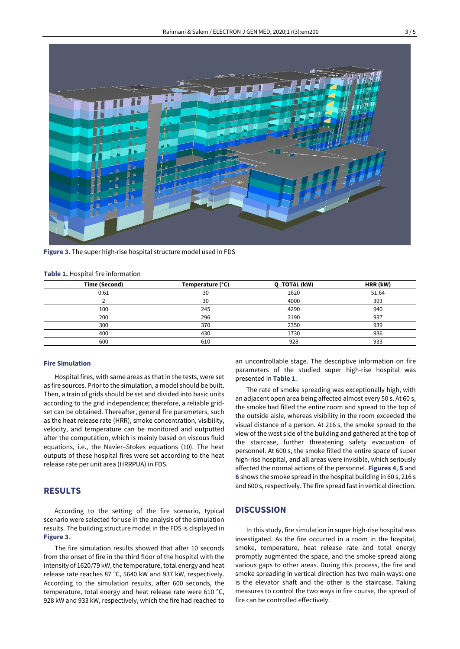

**Figure 3.** The super high-rise hospital structure model used in FDS

#### **Table 1.** Hospital fire information

| Time (Second) | Temperature (°C) | <b>Q_TOTAL (kW)</b> | HRR (kW) |
|---------------|------------------|---------------------|----------|
| 0.61          | 30               | 1620                | 51.64    |
|               | 30               | 4000                | 393      |
| 100           | 245              | 4290                | 940      |
| 200           | 296              | 3190                | 937      |
| 300           | 370              | 2350                | 939      |
| 400           | 430              | 1730                | 936      |
| 600           | 610              | 928                 | 933      |

### **Fire Simulation**

Hospital fires, with same areas as that in the tests, were set as fire sources. Prior to the simulation, a model should be built. Then, a train of grids should be set and divided into basic units according to the grid independence; therefore, a reliable gridset can be obtained. Thereafter, general fire parameters, such as the heat release rate (HRR), smoke concentration, visibility, velocity, and temperature can be monitored and outputted after the computation, which is mainly based on viscous fluid equations, i.e., the Navier–Stokes equations (10). The heat outputs of these hospital fires were set according to the heat release rate per unit area (HRRPUA) in FDS.

# **RESULTS**

According to the setting of the fire scenario, typical scenario were selected for use in the analysis of the simulation results. The building structure model in the FDS is displayed in **Figure 3**.

The fire simulation results showed that after 10 seconds from the onset of fire in the third floor of the hospital with the intensity of 1620/79 kW, the temperature, total energy and heat release rate reaches 87 °C, 5640 kW and 937 kW, respectively. According to the simulation results, after 600 seconds, the temperature, total energy and heat release rate were 610 °C, 928 kW and 933 kW, respectively, which the fire had reached to

an uncontrollable stage. The descriptive information on fire parameters of the studied super high-rise hospital was presented in **Table 1**.

The rate of smoke spreading was exceptionally high, with an adjacent open area being affected almost every 50 s. At 60 s, the smoke had filled the entire room and spread to the top of the outside aisle, whereas visibility in the room exceeded the visual distance of a person. At 216 s, the smoke spread to the view of the west side of the building and gathered at the top of the staircase, further threatening safety evacuation of personnel. At 600 s, the smoke filled the entire space of super high-rise hospital, and all areas were invisible, which seriously affected the normal actions of the personnel. **Figures 4**, **5** and **6** shows the smoke spread in the hospital building in 60 s, 216 s and 600 s, respectively. The fire spread fast in vertical direction.

# **DISCUSSION**

In this study, fire simulation in super high-rise hospital was investigated. As the fire occurred in a room in the hospital, smoke, temperature, heat release rate and total energy promptly augmented the space, and the smoke spread along various gaps to other areas. During this process, the fire and smoke spreading in vertical direction has two main ways: one is the elevator shaft and the other is the staircase. Taking measures to control the two ways in fire course, the spread of fire can be controlled effectively.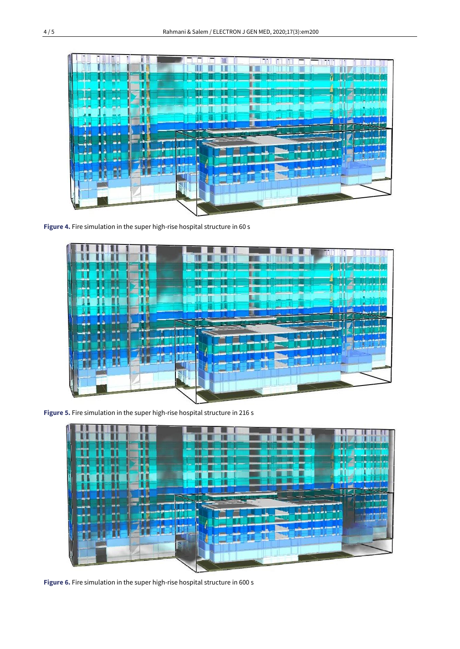

**Figure 4.** Fire simulation in the super high-rise hospital structure in 60 s



**Figure 5.** Fire simulation in the super high-rise hospital structure in 216 s



**Figure 6.** Fire simulation in the super high-rise hospital structure in 600 s